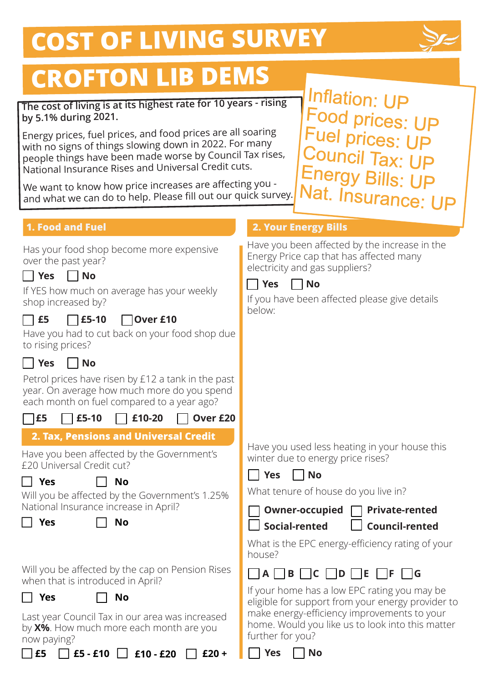# **COST OF LIVING SURVEY**



## **CROFTON LIB DEMS**

#### The cost of living is at its highest rate for 10 years - rising **by 5.1% during 2021.**

Energy prices, fuel prices, and food prices are all soaring with no signs of things slowing down in 2022. For many people things have been made worse by Council Tax rises, National Insurance Rises and Universal Credit cuts.

We want to know how price increases are affecting you and what we can do to help. Please fill out our quick survey.

Inflation: UP Food prices: UP Fuel prices: UP Council Tax: UP Energy Bills: UP Nat. Insurance: UP

#### **1. Food and Fuel**

Has your food shop become more expensive over the past year?

|  | Nω |
|--|----|
|--|----|

If YES how much on average has your weekly shop increased by?

### **£5 £5-10 Over £10**

Have you had to cut back on your food shop due to rising prices?



Petrol prices have risen by £12 a tank in the past year. On average how much more do you spend each month on fuel compared to a year ago?

|--|--|

**£5 £5-10 £10-20 Over £20**

**2. Tax, Pensions and Universal Credit**

Have you been affected by the Government's £20 Universal Credit cut?

 $\Box$  Yes  $\Box$  No

Will you be affected by the Government's 1.25% National Insurance increase in April?

 $\Box$  Yes  $\Box$  No

Will you be affected by the cap on Pension Rises when that is introduced in April?

 $\Box$  Yes  $\Box$  No

Last year Council Tax in our area was increased by **X%**. How much more each month are you now paying?

#### **2. Your Energy Bills**

Have you been affected by the increase in the Energy Price cap that has affected many electricity and gas suppliers?



If you have been affected please give details below:

Have you used less heating in your house this winter due to energy price rises?



]Yes □ No

What tenure of house do you live in?



**Social-rented Council-rented**

What is the EPC energy-efficiency rating of your house?



If your home has a low EPC rating you may be eligible for support from your energy provider to make energy-efficiency improvements to your home. Would you like us to look into this matter further for you?